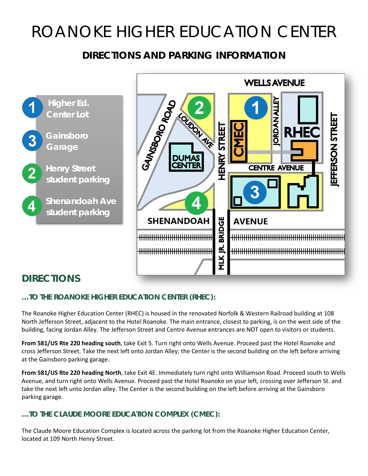# ROANOKE HIGHER EDUCATION CENTER

## **DIRECTIONS AND PARKING INFORMATION**





# **DIRECTIONS**

#### **…TO THE ROANOKE HIGHER EDUCATION CENTER (RHEC):**

The Roanoke Higher Education Center (RHEC) is housed in the renovated Norfolk & Western Railroad building at 108 North Jefferson Street, adjacent to the Hotel Roanoke. The main entrance, closest to parking, is on the west side of the building, facing Jordan Alley. The Jefferson Street and Centre Avenue entrances are NOT open to visitors or students.

**From 581/US Rte 220 heading south**, take Exit 5. Turn right onto Wells Avenue. Proceed past the Hotel Roanoke and cross Jefferson Street. Take the next left onto Jordan Alley; the Center is the second building on the left before arriving at the Gainsboro parking garage.

**From 581/US Rte 220 heading North**, take Exit 4E. Immediately turn right onto Williamson Road. Proceed south to Wells Avenue, and turn right onto Wells Avenue. Proceed past the Hotel Roanoke on your left, crossing over Jefferson St. and take the next left unto Jordan alley. The Center is the second building on the left before arriving at the Gainsboro parking garage.

#### **…TO THE CLAUDE MOORE EDUCATION COMPLEX (CMEC):**

The Claude Moore Education Complex is located across the parking lot from the Roanoke Higher Education Center, located at 109 North Henry Street.